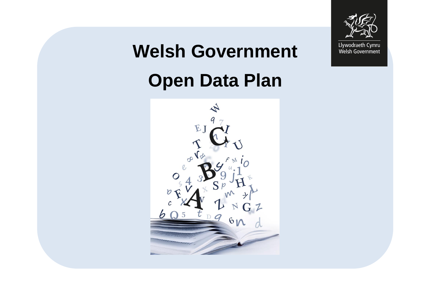

# **Welsh Government Open Data Plan**

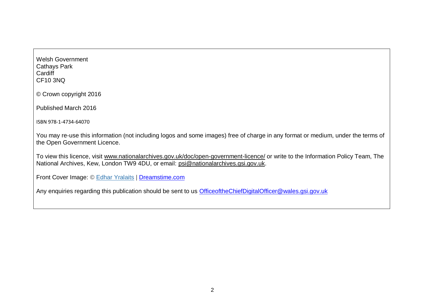Welsh Government Cathays Park **Cardiff** CF10 3NQ

© Crown copyright 2016

Published March 2016

ISBN 978-1-4734-64070

You may re-use this information (not including logos and some images) free of charge in any format or medium, under the terms of the Open Government Licence.

To view this licence, visit [www.nationalarchives.gov.uk/doc/open-government-licence/](http://www.nationalarchives.gov.uk/doc/open-government-licence/) or write to the Information Policy Team, The National Archives, Kew, London TW9 4DU, or email: [psi@nationalarchives.gsi.gov.uk.](mailto:psi@nationalarchives.gsi.gov.uk)

Front Cover Image: © [Edhar Yralaits](http://www.dreamstime.com/edhardream_info) | [Dreamstime.com](http://www.dreamstime.com/)

Any enquiries regarding this publication should be sent to us [OfficeoftheChiefDigitalOfficer@wales.gsi.gov.uk](mailto:OfficeoftheChiefDigitalOfficer@wales.gsi.gov.uk)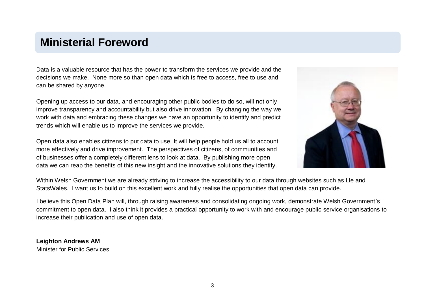### **Ministerial Foreword**

Data is a valuable resource that has the power to transform the services we provide and the decisions we make. None more so than open data which is free to access, free to use and can be shared by anyone.

Opening up access to our data, and encouraging other public bodies to do so, will not only improve transparency and accountability but also drive innovation. By changing the way we work with data and embracing these changes we have an opportunity to identify and predict trends which will enable us to improve the services we provide.

Open data also enables citizens to put data to use. It will help people hold us all to account more effectively and drive improvement. The perspectives of citizens, of communities and of businesses offer a completely different lens to look at data. By publishing more open data we can reap the benefits of this new insight and the innovative solutions they identify.



Within Welsh Government we are already striving to increase the accessibility to our data through websites such as Lle and StatsWales. I want us to build on this excellent work and fully realise the opportunities that open data can provide.

I believe this Open Data Plan will, through raising awareness and consolidating ongoing work, demonstrate Welsh Government's commitment to open data. I also think it provides a practical opportunity to work with and encourage public service organisations to increase their publication and use of open data.

**Leighton Andrews AM** Minister for Public Services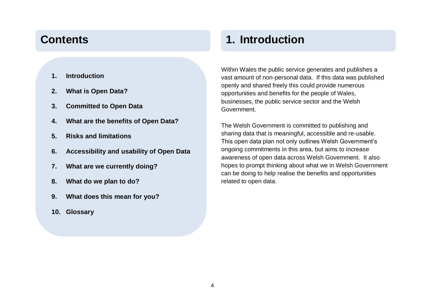- **1. Introduction**
- **2. What is Open Data?**
- **3. Committed to Open Data**
- **4. What are the benefits of Open Data?**
- **5. Risks and limitations**
- **6. Accessibility and usability of Open Data**
- **7. What are we currently doing?**
- **8. What do we plan to do?**
- **9. What does this mean for you?**
- **10. Glossary**

## **Contents 1. Introduction**

Within Wales the public service generates and publishes a vast amount of non-personal data. If this data was published openly and shared freely this could provide numerous opportunities and benefits for the people of Wales, businesses, the public service sector and the Welsh Government.

The Welsh Government is committed to publishing and sharing data that is meaningful, accessible and re-usable. This open data plan not only outlines Welsh Government's ongoing commitments in this area, but aims to increase awareness of open data across Welsh Government. It also hopes to prompt thinking about what we in Welsh Government can be doing to help realise the benefits and opportunities related to open data.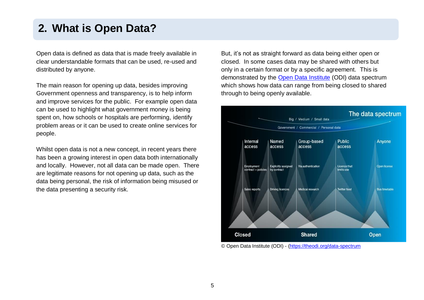### **2. What is Open Data?**

Open data is defined as data that is made freely available in clear understandable formats that can be used, re-used and distributed by anyone.

The main reason for opening up data, besides improving Government openness and transparency, is to help inform and improve services for the public. For example open data can be used to highlight what government money is being spent on, how schools or hospitals are performing, identify problem areas or it can be used to create online services for people.

Whilst open data is not a new concept, in recent years there has been a growing interest in open data both internationally and locally. However, not all data can be made open. There are legitimate reasons for not opening up data, such as the data being personal, the risk of information being misused or the data presenting a security risk.

But, it's not as straight forward as data being either open or closed. In some cases data may be shared with others but only in a certain format or by a specific agreement. This is demonstrated by the [Open Data Institute](http://theodi.org/) (ODI) data spectrum which shows how data can range from being closed to shared through to being openly available.



© Open Data Institute (ODI) - [\(https://theodi.org/data-spectrum](https://theodi.org/data-spectrum)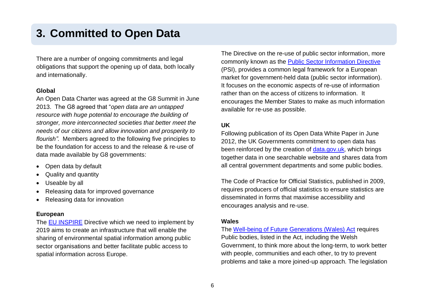### **3. Committed to Open Data**

There are a number of ongoing commitments and legal obligations that support the opening up of data, both locally and internationally.

#### **Global**

An Open Data Charter was agreed at the G8 Summit in June 2013. The G8 agreed that "*open data are an untapped resource with huge potential to encourage the building of stronger, more interconnected societies that better meet the needs of our citizens and allow innovation and prosperity to flourish"*. Members agreed to the following five principles to be the foundation for access to and the release & re-use of data made available by G8 governments:

- Open data by default
- Quality and quantity
- Useable by all
- Releasing data for improved governance
- Releasing data for innovation

#### **European**

The [EU INSPIRE](http://inspire.ec.europa.eu/) Directive which we need to implement by 2019 aims to create an infrastructure that will enable the sharing of environmental spatial information among public sector organisations and better facilitate public access to spatial information across Europe.

The Directive on the re-use of public sector information, more commonly known as the [Public Sector Information Directive](http://www.legislation.gov.uk/uksi/2015/1415/contents/made) (PSI), provides a common legal framework for a European market for government-held data (public sector information). It focuses on the economic aspects of re-use of information rather than on the access of citizens to information. It encourages the Member States to make as much information available for re-use as possible.

#### **UK**

Following publication of its Open Data White Paper in June 2012, the UK Governments commitment to open data has been reinforced by the creation of [data.gov.uk,](https://data.gov.uk/) which brings together data in one searchable website and shares data from all central government departments and some public bodies.

The Code of Practice for Official Statistics, published in 2009, requires producers of official statistics to ensure statistics are disseminated in forms that maximise accessibility and encourages analysis and re-use.

#### **Wales**

The [Well-being of Future Generations \(Wales\) Act](http://gov.wales/topics/people-and-communities/people/future-generations-bill/?lang=en) requires Public bodies, listed in the Act, including the Welsh Government, to think more about the long-term, to work better with people, communities and each other, to try to prevent problems and take a more joined-up approach. The legislation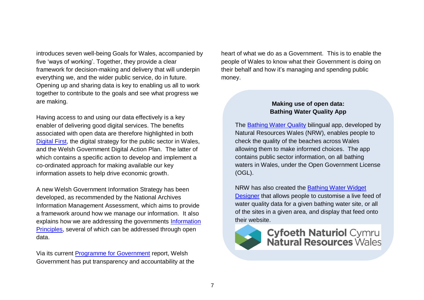introduces seven well-being Goals for Wales, accompanied by five 'ways of working'. Together, they provide a clear framework for decision-making and delivery that will underpin everything we, and the wider public service, do in future. Opening up and sharing data is key to enabling us all to work together to contribute to the goals and see what progress we are making.

Having access to and using our data effectively is a key enabler of delivering good digital services. The benefits associated with open data are therefore highlighted in both [Digital First,](http://gov.wales/topics/science-and-technology/digital/public-services/digital-first/?lang=en) the digital strategy for the public sector in Wales, and the Welsh Government Digital Action Plan. The latter of which contains a specific action to develop and implement a co-ordinated approach for making available our key information assets to help drive economic growth.

A new Welsh Government Information Strategy has been developed, as recommended by the National Archives Information Management Assessment, which aims to provide a framework around how we manage our information. It also explains how we are addressing the governments Information [Principles,](http://www.nationalarchives.gov.uk/information-management/manage-information/planning/information-principles/) several of which can be addressed through open data.

Via its current [Programme for Government](http://gov.wales/about/programmeforgov/about?lang=en) report, Welsh Government has put transparency and accountability at the heart of what we do as a Government. This is to enable the people of Wales to know what their Government is doing on their behalf and how it's managing and spending public money.

#### **Making use of open data: Bathing Water Quality App**

The [Bathing Water Quality](http://environment.data.gov.uk/wales/bathing-waters/) bilingual app, developed by Natural Resources Wales (NRW), enables people to check the quality of the beaches across Wales allowing them to make informed choices. The app contains public sector information, on all bathing waters in Wales, under the Open Government License (OGL).

NRW has also created the [Bathing Water Widget](http://naturalresources.wales/water/quality/bathing-water-quality/?lang=en)  [Designer](http://naturalresources.wales/water/quality/bathing-water-quality/?lang=en) that allows people to customise a live feed of water quality data for a given bathing water site, or all of the sites in a given area, and display that feed onto their website.



**Cyfoeth Naturiol Cymru<br>Natural Resources Wales**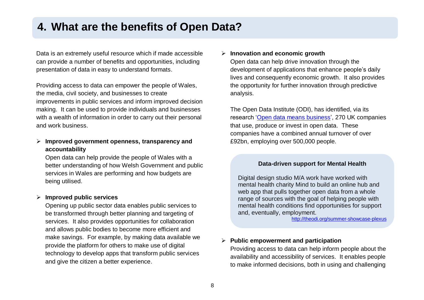### **4. What are the benefits of Open Data?**

Data is an extremely useful resource which if made accessible can provide a number of benefits and opportunities, including presentation of data in easy to understand formats.

Providing access to data can empower the people of Wales, the media, civil society, and businesses to create improvements in public services and inform improved decision making. It can be used to provide individuals and businesses with a wealth of information in order to carry out their personal and work business.

#### **Improved government openness, transparency and accountability**

Open data can help provide the people of Wales with a better understanding of how Welsh Government and public services in Wales are performing and how budgets are being utilised.

#### **Improved public services**

Opening up public sector data enables public services to be transformed through better planning and targeting of services. It also provides opportunities for collaboration and allows public bodies to become more efficient and make savings. For example, by making data available we provide the platform for others to make use of digital technology to develop apps that transform public services and give the citizen a better experience.

#### **Innovation and economic growth**

Open data can help drive innovation through the development of applications that enhance people's daily lives and consequently economic growth. It also provides the opportunity for further innovation through predictive analysis.

The Open Data Institute (ODI), has identified, via its research ['Open data means business'](http://theodi.org/open-data-means-business), 270 UK companies that use, produce or invest in open data. These companies have a combined [annual turnover of over](http://theodi.org/open-data-means-business)  [£92bn,](http://theodi.org/open-data-means-business) employing over 500,000 people.

#### **Data-driven support for Mental Health**

Digital design studio M/A work have worked with mental health charity Mind to build an online hub and web app that pulls together open data from a whole range of sources with the goal of helping people with mental health conditions find opportunities for support and, eventually, employment.

<http://theodi.org/summer-showcase-plexus>

#### **Public empowerment and participation**

Providing access to data can help inform people about the availability and accessibility of services. It enables people to make informed decisions, both in using and challenging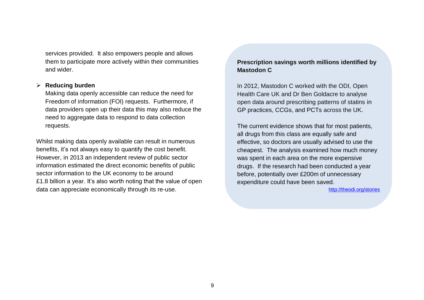services provided. It also empowers people and allows them to participate more actively within their communities and wider.

#### **Reducing burden**

Making data openly accessible can reduce the need for Freedom of information (FOI) requests. Furthermore, if data providers open up their data this may also reduce the need to aggregate data to respond to data collection requests.

Whilst making data openly available can result in numerous benefits, it's not always easy to quantify the cost benefit. However, in 2013 an independent review of public sector information estimated the direct economic benefits of public sector information to the UK economy to be around £1.8 billion a year. It's also worth noting that the value of open data can appreciate economically through its re-use.

#### **Prescription savings worth millions identified by Mastodon C**

In 2012, Mastodon C worked with the ODI, [Open](http://www.openhealthcare.org.uk/)  [Health Care UK](http://www.openhealthcare.org.uk/) and Dr Ben Goldacre to analyse open data around prescribing patterns of statins in GP practices, CCGs, and PCTs across the UK.

The current evidence shows that for most patients, all drugs from this class are equally safe and effective, so doctors are usually advised to use the cheapest. The analysis examined how much money was spent in each area on the more expensive drugs. If the research had been conducted a year before, potentially over £200m of unnecessary expenditure could have been saved.

<http://theodi.org/stories>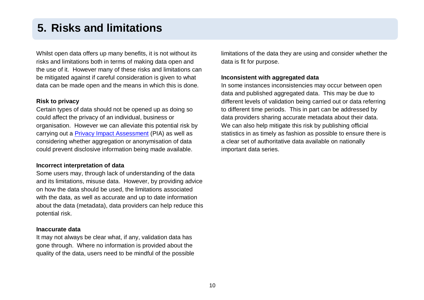### **5. Risks and limitations**

Whilst open data offers up many benefits, it is not without its risks and limitations both in terms of making data open and the use of it. However many of these risks and limitations can be mitigated against if careful consideration is given to what data can be made open and the means in which this is done.

#### **Risk to privacy**

Certain types of data should not be opened up as doing so could affect the privacy of an individual, business or organisation. However we can alleviate this potential risk by carrying out a [Privacy Impact Assessment](http://intranet/English/PolicyDelivery/AppraisingPolicy/Social/Pages/Privacy.aspx) (PIA) as well as considering whether aggregation or anonymisation of data could prevent disclosive information being made available.

#### **Incorrect interpretation of data**

Some users may, through lack of understanding of the data and its limitations, misuse data. However, by providing advice on how the data should be used, the limitations associated with the data, as well as accurate and up to date information about the data (metadata), data providers can help reduce this potential risk.

#### **Inaccurate data**

It may not always be clear what, if any, validation data has gone through. Where no information is provided about the quality of the data, users need to be mindful of the possible limitations of the data they are using and consider whether the data is fit for purpose.

#### **Inconsistent with aggregated data**

In some instances inconsistencies may occur between open data and published aggregated data. This may be due to different levels of validation being carried out or data referring to different time periods. This in part can be addressed by data providers sharing accurate metadata about their data. We can also help mitigate this risk by publishing official statistics in as timely as fashion as possible to ensure there is a clear set of authoritative data available on nationally important data series.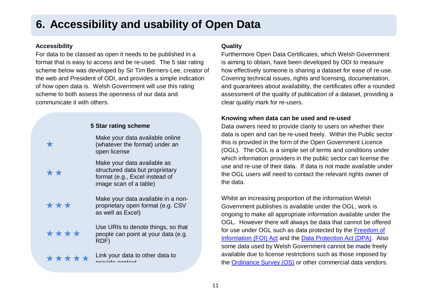## **6. Accessibility and usability of Open Data**

#### **Accessibility**

For data to be classed as open it needs to be published in a format that is easy to access and be re-used. The 5 star rating scheme below was developed by Sir Tim Berners-Lee, creator of the web and President of ODI, and provides a simple indication of how open data is. Welsh Government will use this rating scheme to both assess the openness of our data and communicate it with others.

| 5 Star rating scheme |                                                                                                                            |
|----------------------|----------------------------------------------------------------------------------------------------------------------------|
|                      | Make your data available online<br>(whatever the format) under an<br>open license                                          |
| **                   | Make your data available as<br>structured data but proprietary<br>format (e.g., Excel instead of<br>image scan of a table) |
| ***                  | Make your data available in a non-<br>proprietary open format (e.g. CSV<br>as well as Excel)                               |
| ****                 | Use URIs to denote things, so that<br>people can point at your data (e.g.<br>RDF)                                          |
| *****                | Link your data to other data to<br>arovido contoxt                                                                         |

#### **Quality**

Furthermore Open Data Certificates, which Welsh Government is aiming to obtain, have been developed by ODI to measure how effectively someone is sharing a dataset for ease of re-use. Covering technical issues, rights and licensing, documentation, and guarantees about availability, the certificates offer a rounded assessment of the quality of publication of a dataset, providing a clear quality mark for re-users.

#### **Knowing when data can be used and re-used**

Data owners need to provide clarity to users on whether their data is open and can be re-used freely. Within the Public sector this is provided in the form of the Open Government Licence (OGL). The OGL is a simple set of terms and conditions under which information providers in the public sector can license the use and re-use of their data. If data is not made available under the OGL users will need to contact the relevant rights owner of the data.

Whilst an increasing proportion of the information Welsh Government publishes is available under the OGL, work is ongoing to make all appropriate information available under the OGL. However there will always be data that cannot be offered for use under OGL such as data protected by the [Freedom of](http://www.legislation.gov.uk/ukpga/2000/36/contents)  [Information \(FOI\) Act](http://www.legislation.gov.uk/ukpga/2000/36/contents) and the [Data Protection Act \(DPA\).](https://www.gov.uk/data-protection/the-data-protection-act) Also some data used by Welsh Government cannot be made freely available due to license restrictions such as those imposed by the [Ordinance Survey \(OS\)](https://www.ordnancesurvey.co.uk/business-and-government/licensing/) or other commercial data vendors.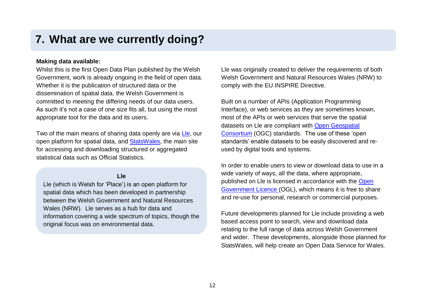### **7. What are we currently doing?**

#### **Making data available:**

Whilst this is the first Open Data Plan published by the Welsh Government, work is already ongoing in the field of open data. Whether it is the publication of structured data or the dissemination of spatial data, the Welsh Government is committed to meeting the differing needs of our data users. As such it's not a case of one size fits all, but using the most appropriate tool for the data and its users.

Two of the main means of sharing data openly are via [Lle,](http://lle.wales.gov.uk/home) our open platform for spatial data, and [StatsWales,](https://statswales.wales.gov.uk/Catalogue) the main site for accessing and downloading structured or aggregated statistical data such as Official Statistics.

#### **Lle**

Lle (which is Welsh for 'Place') is an open platform for spatial data which has been developed in partnership between the Welsh Government and Natural Resources Wales (NRW). Lle serves as a hub for data and information covering a wide spectrum of topics, though the original focus was on environmental data.

Lle was originally created to deliver the requirements of both Welsh Government and Natural Resources Wales (NRW) to comply with the EU INSPIRE Directive.

Built on a number of APIs (Application Programming Interface), or web services as they are sometimes known, most of the APIs or web services that serve the spatial datasets on Lle are compliant with [Open Geospatial](http://www.opengeospatial.org/)  [Consortium](http://www.opengeospatial.org/) (OGC) standards. The use of these 'open standards' enable datasets to be easily discovered and reused by digital tools and systems.

In order to enable users to view or download data to use in a wide variety of ways, all the data, where appropriate, published on Lle is licensed in accordance with the [Open](http://www.nationalarchives.gov.uk/doc/open-government-licence/version/3/)  [Government Licence](http://www.nationalarchives.gov.uk/doc/open-government-licence/version/3/) (OGL), which means it is free to share and re-use for personal, research or commercial purposes.

Future developments planned for Lle include providing a web based access point to search, view and download data relating to the full range of data across Welsh Government and wider. These developments, alongside those planned for StatsWales, will help create an Open Data Service for Wales.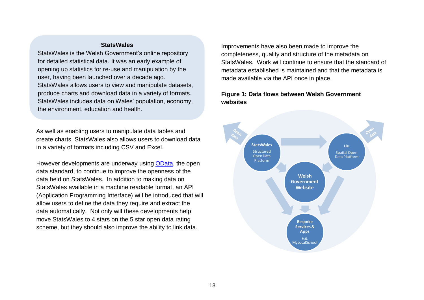#### **StatsWales**

StatsWales is the Welsh Government's online repository for detailed statistical data. It was an early example of opening up statistics for re-use and manipulation by the user, having been launched over a decade ago. StatsWales allows users to view and manipulate datasets, produce charts and download data in a variety of formats. StatsWales includes data on Wales' population, economy, the environment, education and health.

As well as enabling users to manipulate data tables and create charts, StatsWales also allows users to download data in a variety of formats including CSV and Excel.

However developments are underway using [OData,](http://www.odata.org/) the open data standard, to continue to improve the openness of the data held on StatsWales. In addition to making data on StatsWales available in a machine readable format, an API (Application Programming Interface) will be introduced that will allow users to define the data they require and extract the data automatically. Not only will these developments help move StatsWales to 4 stars on the 5 star open data rating scheme, but they should also improve the ability to link data.

Improvements have also been made to improve the completeness, quality and structure of the metadata on StatsWales. Work will continue to ensure that the standard of metadata established is maintained and that the metadata is made available via the API once in place.

#### **Figure 1: Data flows between Welsh Government websites**

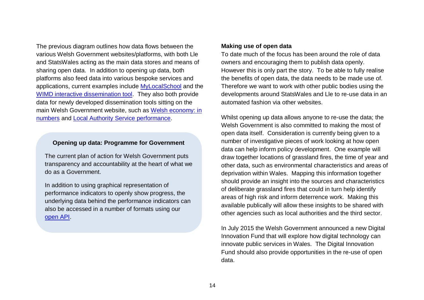The previous diagram outlines how data flows between the various Welsh Government websites/platforms, with both Lle and StatsWales acting as the main data stores and means of sharing open data. In addition to opening up data, both platforms also feed data into various bespoke services and applications, current examples include [MyLocalSchool](http://mylocalschool.wales.gov.uk/index.html?iaith=eng) and the [WIMD interactive dissemination tool.](http://wimd.wales.gov.uk/) They also both provide data for newly developed dissemination tools sitting on the main Welsh Government website, such as [Welsh economy: in](http://gov.wales/statistics-and-research/economic-indicators/?lang=en)  [numbers](http://gov.wales/statistics-and-research/economic-indicators/?lang=en) and [Local Authority Service performance.](http://gov.wales/topics/improvingservices/local-authority-service-performance/?lang=en)

#### **Opening up data: Programme for Government**

The current plan of action for Welsh Government puts transparency and accountability at the heart of what we do as a Government.

In addition to using graphical representation of performance indicators to openly show progress, the underlying data behind the performance indicators can also be accessed in a number of formats using our [open API.](http://gov.wales/about/programmeforgov/developertools?lang=en)

#### **Making use of open data**

To date much of the focus has been around the role of data owners and encouraging them to publish data openly. However this is only part the story. To be able to fully realise the benefits of open data, the data needs to be made use of. Therefore we want to work with other public bodies using the developments around StatsWales and Lle to re-use data in an automated fashion via other websites.

Whilst opening up data allows anyone to re-use the data; the Welsh Government is also committed to making the most of open data itself. Consideration is currently being given to a number of investigative pieces of work looking at how open data can help inform policy development. One example will draw together locations of grassland fires, the time of year and other data, such as environmental characteristics and areas of deprivation within Wales. Mapping this information together should provide an insight into the sources and characteristics of deliberate grassland fires that could in turn help identify areas of high risk and inform deterrence work. Making this available publically will allow these insights to be shared with other agencies such as local authorities and the third sector.

In July 2015 the Welsh Government announced a new Digital Innovation Fund that will explore how digital technology can innovate public services in Wales. The Digital Innovation Fund should also provide opportunities in the re-use of open data.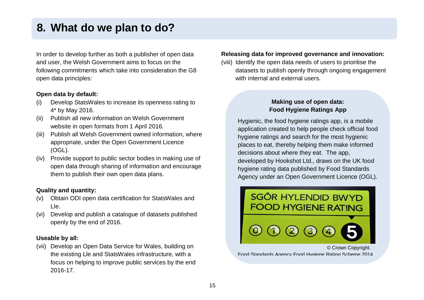### **8. What do we plan to do?**

In order to develop further as both a publisher of open data and user, the Welsh Government aims to focus on the following commitments which take into consideration the G8 open data principles:

#### **Open data by default:**

- (i) Develop StatsWales to increase its openness rating to 4\* by May 2016.
- (ii) Publish all new information on Welsh Government website in open formats from 1 April 2016.
- (iii) Publish all Welsh Government owned information, where appropriate, under the Open Government Licence (OGL).
- (iv) Provide support to public sector bodies in making use of open data through sharing of information and encourage them to publish their own open data plans.

#### **Quality and quantity:**

- (v) Obtain ODI open data certification for StatsWales and Lle.
- (vi) Develop and publish a catalogue of datasets published openly by the end of 2016.

#### **Useable by all:**

(vii) Develop an Open Data Service for Wales, building on the existing Lle and StatsWales infrastructure, with a focus on helping to improve public services by the end 2016-17.

#### **Releasing data for improved governance and innovation:**

(viii) Identify the open data needs of users to prioritise the datasets to publish openly through ongoing engagement with internal and external users.

### **Making use of open data: Food Hygiene Ratings App**

Hygienic, the food hygiene ratings app, is a mobile application created to help people check official food hygiene ratings and search for the most hygienic places to eat, thereby helping them make informed decisions about where they eat. The app, developed by Hookshot Ltd., draws on the UK food hygiene rating data published by Food Standards Agency under an Open Government Licence (OGL).



Food Standards Agency Food Hygiene Rating Scheme 2014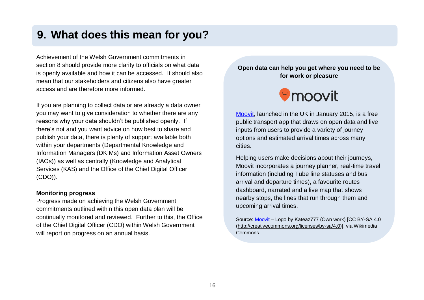### **9. What does this mean for you?**

Achievement of the Welsh Government commitments in section 8 should provide more clarity to officials on what data is openly available and how it can be accessed. It should also mean that our stakeholders and citizens also have greater access and are therefore more informed.

If you are planning to collect data or are already a data owner you may want to give consideration to whether there are any reasons why your data shouldn't be published openly. If there's not and you want advice on how best to share and publish your data, there is plenty of support available both within your departments (Departmental Knowledge and Information Managers (DKIMs) and Information Asset Owners (IAOs)) as well as centrally (Knowledge and Analytical Services (KAS) and the Office of the Chief Digital Officer (CDO)).

#### **Monitoring progress**

Progress made on achieving the Welsh Government commitments outlined within this open data plan will be continually monitored and reviewed. Further to this, the Office of the Chief Digital Officer (CDO) within Welsh Government will report on progress on an annual basis.

#### **Open data can help you get where you need to be for work or pleasure**



[Moovit,](http://moovitapp.com/en-gb/) launched in the UK in January 2015, is a free public transport app that draws on open data and live inputs from users to provide a variety of journey options and estimated arrival times across many cities.

Helping users make decisions about their journeys, Moovit incorporates a journey planner, real-time travel information (including Tube line statuses and bus arrival and departure times), a favourite routes dashboard, narrated and a live map that shows nearby stops, the lines that run through them and upcoming arrival times.

Source[: Moovit](http://moovitapp.com/en-gb/) – Logo by Kateaz777 (Own work) [CC BY-SA 4.0 [\(http://creativecommons.org/licenses/by-sa/4.0\)](http://creativecommons.org/licenses/by-sa/4.0)], via Wikimedia Commons